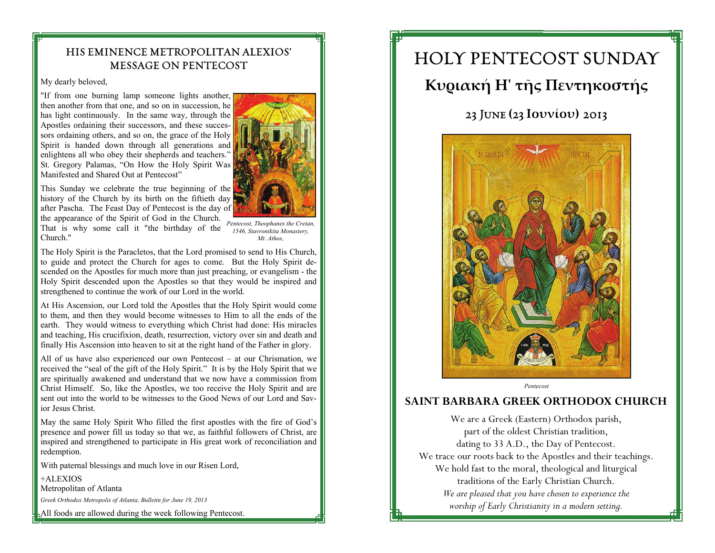### HIS EMINENCE METROPOLITAN ALEXIOS' MESSAGE ON PENTECOST

My dearly beloved,

"If from one burning lamp someone lights another, then another from that one, and so on in succession, he has light continuously. In the same way, through the Apostles ordaining their successors, and these successors ordaining others, and so on, the grace of the Holy Spirit is handed down through all generations and enlightens all who obey their shepherds and teachers." St. Gregory Palamas, "On How the Holy Spirit Was Manifested and Shared Out at Pentecost"

This Sunday we celebrate the true beginning of the history of the Church by its birth on the fiftieth day after Pascha. The Feast Day of Pentecost is the day of the appearance of the Spirit of God in the Church.

That is why some call it "the birthday of the Church."

*Pentecost, Theophanes the Cretan, 1546, Stavronikita Monastery, Mt. Athos,* 

The Holy Spirit is the Paracletos, that the Lord promised to send to His Church, to guide and protect the Church for ages to come. But the Holy Spirit descended on the Apostles for much more than just preaching, or evangelism - the Holy Spirit descended upon the Apostles so that they would be inspired and strengthened to continue the work of our Lord in the world.

At His Ascension, our Lord told the Apostles that the Holy Spirit would come to them, and then they would become witnesses to Him to all the ends of the earth. They would witness to everything which Christ had done: His miracles and teaching, His crucifixion, death, resurrection, victory over sin and death and finally His Ascension into heaven to sit at the right hand of the Father in glory.

All of us have also experienced our own Pentecost – at our Chrismation, we received the "seal of the gift of the Holy Spirit." It is by the Holy Spirit that we are spiritually awakened and understand that we now have a commission from Christ Himself. So, like the Apostles, we too receive the Holy Spirit and are sent out into the world to be witnesses to the Good News of our Lord and Savior Jesus Christ.

May the same Holy Spirit Who filled the first apostles with the fire of God's presence and power fill us today so that we, as faithful followers of Christ, are inspired and strengthened to participate in His great work of reconciliation and redemption.

With paternal blessings and much love in our Risen Lord,

+ALEXIOS

Metropolitan of Atlanta

*Greek Orthodox Metropolis of Atlanta, Bulletin for June 19, 2013* 

All foods are allowed during the week following Pentecost.

# HOLY PENTECOST SUNDAY

# **Κυριακή Ηʹ τῆς Πεντηκοστής**

# 23 June **(**23 **Ιουνίου)** <sup>2013</sup>



*Pentecost* 

### **SAINT BARBARA GREEK ORTHODOX CHURCH**

We are a Greek (Eastern) Orthodox parish, part of the oldest Christian tradition, dating to 33 A.D., the Day of Pentecost. We trace our roots back to the Apostles and their teachings. We hold fast to the moral, theological and liturgical traditions of the Early Christian Church. *We are pleased that you have chosen to experience the worship of Early Christianity in a modern setting.* 

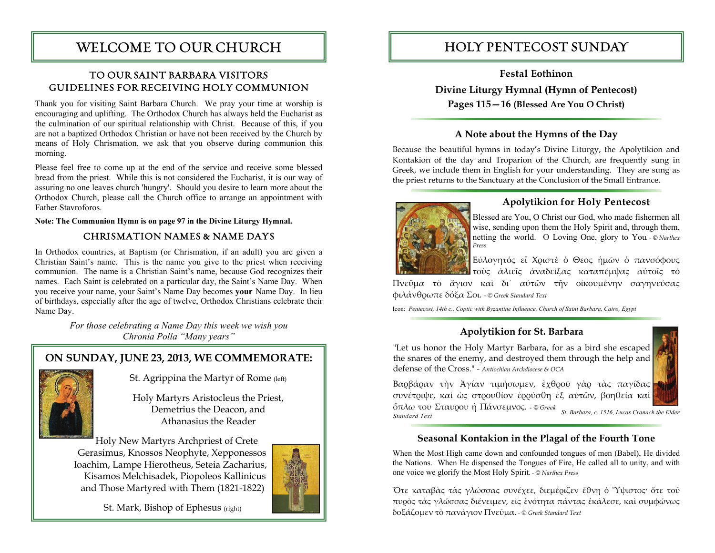# WELCOME TO OUR CHURCH

## TO OUR SAINT BARBARA VISITORS GUIDELINES FOR RECEIVING HOLY COMMUNION

Thank you for visiting Saint Barbara Church. We pray your time at worship is encouraging and uplifting. The Orthodox Church has always held the Eucharist as the culmination of our spiritual relationship with Christ. Because of this, if you are not a baptized Orthodox Christian or have not been received by the Church by means of Holy Chrismation, we ask that you observe during communion this morning.

Please feel free to come up at the end of the service and receive some blessed bread from the priest. While this is not considered the Eucharist, it is our way of assuring no one leaves church 'hungry'. Should you desire to learn more about the Orthodox Church, please call the Church office to arrange an appointment with Father Stavroforos.

**Note: The Communion Hymn is on page 97 in the Divine Liturgy Hymnal.** 

## CHRISMATION NAMES & NAME DAYS

In Orthodox countries, at Baptism (or Chrismation, if an adult) you are given a Christian Saint's name. This is the name you give to the priest when receiving communion. The name is a Christian Saint's name, because God recognizes their names. Each Saint is celebrated on a particular day, the Saint's Name Day. When you receive your name, your Saint's Name Day becomes **your** Name Day. In lieu of birthdays, especially after the age of twelve, Orthodox Christians celebrate their Name Day.

> *For those celebrating a Name Day this week we wish you Chronia Polla "Many years"*

## **ON SUNDAY, JUNE 23, 2013, WE COMMEMORATE:**



St. Agrippina the Martyr of Rome (left)

Holy Martyrs Aristocleus the Priest, Demetrius the Deacon, and Athanasius the Reader

Holy New Martyrs Archpriest of Crete Gerasimus, Knossos Neophyte, Xepponessos Ioachim, Lampe Hierotheus, Seteia Zacharius, Kisamos Melchisadek, Piopoleos Kallinicus and Those Martyred with Them (1821-1822)



St. Mark, Bishop of Ephesus (right)

# HOLY PENTECOST SUNDAY

**Festal Eothinon Divine Liturgy Hymnal (Hymn of Pentecost) Pages 115—16 (Blessed Are You O Christ)** 

### **A Note about the Hymns of the Day**

Because the beautiful hymns in today's Divine Liturgy, the Apolytikion and Kontakion of the day and Troparion of the Church, are frequently sung in Greek, we include them in English for your understanding. They are sung as the priest returns to the Sanctuary at the Conclusion of the Small Entrance.



### **Apolytikion for Holy Pentecost**

Blessed are You, O Christ our God, who made fishermen all wise, sending upon them the Holy Spirit and, through them, netting the world. O Loving One, glory to You*. - © Narthex Press* 

Εύλογητός εἶ Χριστὲ ὁ Θεος ἡμῶν ὁ πανσόφους τοὺς ἁλιεῖς ἁναδείξας καταπέμψας αὐτοῖς τὸ

Πνεῦμα τὸ ἅγιον καὶ δι᾽ αὐτῶν τῆν οἰκουμένην σαγηνεύσας φιλάνθρωπε δόξα Σοι*. ‐ © Greek Standard Text*

Icon: *Pentecost, 14th c., Coptic with Byzantine Influence, Church of Saint Barbara, Cairo, Egypt* 

### **Apolytikion for St. Barbara**

"Let us honor the Holy Martyr Barbara, for as a bird she escaped the snares of the enemy, and destroyed them through the help and defense of the Cross." *- Antiochian Archdiocese & OCA* 



Βαρβάραν τὴν Άγίαν τιμήσωμεν, ἐχθροῦ γὰρ τὰς παγίδας συνέτριψε, καὶ ὡς στρουθίον ἐρρύσθη ἐξ αὐτῶν, βοηθεία καὶ

ὅπλω τοῦ Σταυροῦ ἡ Πάνσεμνος*. - © Greek Standard Text St. Barbara, c. 1516, Lucas Cranach the Elder* 

#### **Seasonal Kontakion in the Plagal of the Fourth Tone**

When the Most Hig[h came down and confounded tongues of men](http://www.stbarbarachurchnc.org/) (Babel), He divided the Nations. When He dispensed the Tongues of Fire, He called all to unity, and with one voice we glorify the Most Holy Spirit. *- © Narthex Press* 

Ὅτε καταβὰς τὰς γλώσσας συνέχεε, [διεμέριζεν](mailto:fatherstavroforos2012@gmail.com)  ἔθνη ὁ Ὕψιστος· ὅτε τοῦ πυρὸς τὰς γλώσσας διένειμεν, εἰς ἑνότητα πάντας ἐκάλεσε, καὶ συμφώνως δοξάζομεν τὸ πανάγιον Πνεῦμα. *‐ © Greek Standard Text*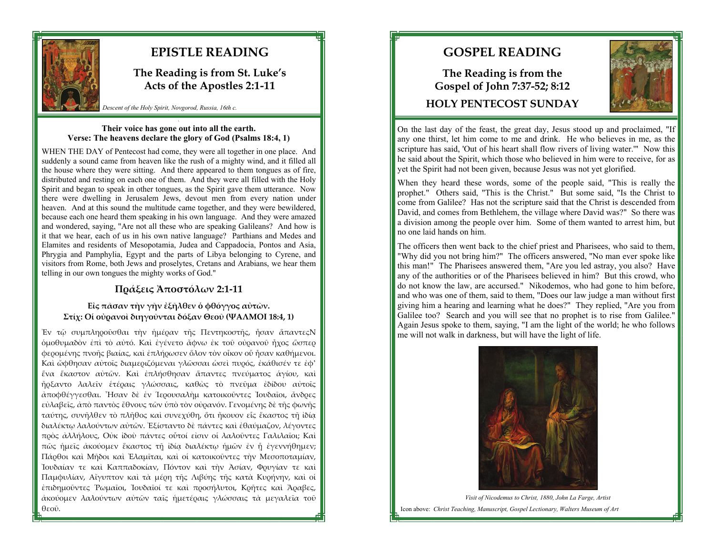

# **EPISTLE READING**

## **The Reading is from St. Luke's Acts of the Apostles 2:1-11**

*Descent of the Holy Spirit, Novgorod, Russia, 16th c.* 

#### **Their voice has gone out into all the earth. Verse: The heavens declare the glory of God (Psalms 18:4, 1)**

WHEN THE DAY of Pentecost had come, they were all together in one place. And suddenly a sound came from heaven like the rush of a mighty wind, and it filled all the house where they were sitting. And there appeared to them tongues as of fire, distributed and resting on each one of them. And they were all filled with the Holy Spirit and began to speak in other tongues, as the Spirit gave them utterance. Now there were dwelling in Jerusalem Jews, devout men from every nation under heaven. And at this sound the multitude came together, and they were bewildered, because each one heard them speaking in his own language. And they were amazed and wondered, saying, "Are not all these who are speaking Galileans? And how is it that we hear, each of us in his own native language? Parthians and Medes and Elamites and residents of Mesopotamia, Judea and Cappadocia, Pontos and Asia, Phrygia and Pamphylia, Egypt and the parts of Libya belonging to Cyrene, and visitors from Rome, both Jews and proselytes, Cretans and Arabians, we hear them telling in our own tongues the mighty works of God."

#### **Πράξεις Ἀποστόλων 2:1‐<sup>11</sup>**

#### **Εἰς πᾶσαν τὴν γῆν ἐξῆλθεν ὁ φθόγγος αὐτῶν. Στίχ: Οἱ οὐρανοὶ διηγοῦνται δόξαν Θεοῦ (ΨΑΛΜΟΙ 18:4, 1)**

</u>εν τῷ συμπληροῦσθαι τὴν ἡμέραν τῆς Πεντηκοστῆς, ἦσαν ἅπαντεςΝ ὁμοθυμαδὸν ἐπὶ τὸ αὐτό. Καὶ ἐγένετο ἄφνω ἐκ τοῦ οὐρανοῦ ἦχος ὥσπερ φερομένης πνοῆς βιαίας, καὶ ἐπλήρωσεν ὅλον τὸν οἶκον οὗ ἦσαν καθήμενοι. Καὶ ὤφθησαν αὐτοῖς διαμεριζόμεναι γλῶσσαι ὡσεὶ πυρός, ἐκάθισέν τε ἐφ<sup>&#</sup>x27; ἕνα ἕκαστον αὐτῶν. Καὶ ἐπλήσθησαν ἅπαντες πνεύματος ἁγίου, καὶ ἤρξαντο λαλεῖν ἑτέραις γλώσσαις, καθὼς τὸ πνεῦμα ἐδίδου αὐτοῖς ἀποφθέγγεσθαι. Ἦσαν δὲ ἐν Ἱερουσαλὴμ κατοικοῦντες Ἰουδαῖοι, ἄνδρες εὐλαβεῖς, ἀπὸ παντὸς ἔθνους τῶν ὑπὸ τὸν οὐρανόν. Γενομένης δὲ τῆς φωνῆς ταύτης, συνῆλθεν τὸ πλῆθος καὶ συνεχύθη, ὅτι ἤκουον εἷς ἕκαστος τῇ ἰδίᾳ διαλέκτῳ λαλούντων αὐτῶν. Ἐξίσταντο δὲ πάντες καὶ ἐθαύμαζον, λέγοντες πρὸς ἀλλήλους, Οὐκ ἰδοὺ πάντες οὗτοί εἰσιν οἱ λαλοῦντες Γαλιλαῖοι; Καὶ πῶς ἡμεῖς ἀκούομεν ἕκαστος τῇ ἰδίᾳ διαλέκτῳ ἡμῶν ἐν ᾗ ἐγεννήθημεν; Πάρθοι καὶ Μῆδοι καὶ Ἐλαμῖται, καὶ οἱ κατοικοῦντες τὴν Μεσοποταμίαν, Ἰουδαίαν τε καὶ Καππαδοκίαν, Πόντον καὶ τὴν Ἀσίαν, Φρυγίαν τε καὶ Παμφυλίαν, Αἴγυπτον καὶ τὰ μέρη τῆς Λιβύης τῆς κατὰ Κυρήνην, καὶ οἱ ἐπιδημοῦντες Ῥωμαῖοι, Ἰουδαῖοί τε καὶ προσήλυτοι, Κρῆτες καὶ Ἄραβες, ἀκούομεν λαλούντων αὐτῶν ταῖς ἡμετέραις γλώσσαις τὰ μεγαλεῖα τοῦ θεοῦ.

## **GOSPEL READING**

# **The Reading is from the Gospel of John 7:37-52; 8:12 HOLY PENTECOST SUNDAY**



On the last day of the feast, the great day, Jesus stood up and proclaimed, "If any one thirst, let him come to me and drink. He who believes in me, as the scripture has said, 'Out of his heart shall flow rivers of living water.'" Now this he said about the Spirit, which those who believed in him were to receive, for as yet the Spirit had not been given, because Jesus was not yet glorified.

When they heard these words, some of the people said, "This is really the prophet." Others said, "This is the Christ." But some said, "Is the Christ to come from Galilee? Has not the scripture said that the Christ is descended from David, and comes from Bethlehem, the village where David was?" So there was a division among the people over him. Some of them wanted to arrest him, but no one laid hands on him.

The officers then went back to the chief priest and Pharisees, who said to them, "Why did you not bring him?" The officers answered, "No man ever spoke like this man!" The Pharisees answered them, "Are you led astray, you also? Have any of the authorities or of the Pharisees believed in him? But this crowd, who do not know the law, are accursed." Nikodemos, who had gone to him before, and who was one of them, said to them, "Does our law judge a man without first giving him a hearing and learning what he does?" They replied, "Are you from Galilee too? Search and you will see that no prophet is to rise from Galilee." Again Jesus spoke to them, saying, "I am the light of the world; he who follows me will not walk in darkness, but will have the light of life.



*Visit of Nicodemus to Christ, 1880, John La Farge, Artist*  Icon above: *Christ Teaching, Manuscript, Gospel Lectionary, Walters Museum of Art*